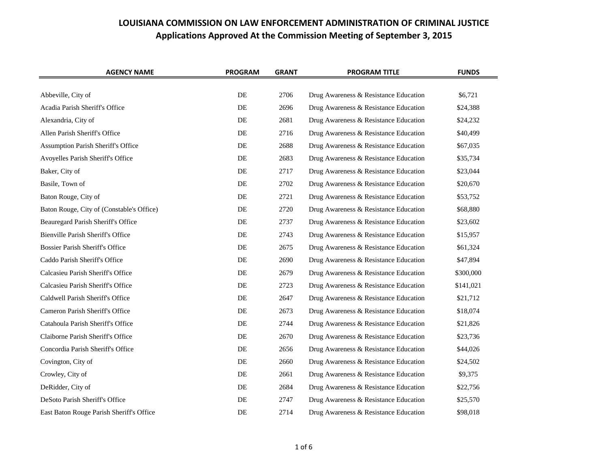| <b>AGENCY NAME</b>                        | <b>PROGRAM</b> | <b>GRANT</b> | <b>PROGRAM TITLE</b>                  | <b>FUNDS</b> |
|-------------------------------------------|----------------|--------------|---------------------------------------|--------------|
|                                           |                |              |                                       |              |
| Abbeville, City of                        | DE             | 2706         | Drug Awareness & Resistance Education | \$6,721      |
| Acadia Parish Sheriff's Office            | DE             | 2696         | Drug Awareness & Resistance Education | \$24,388     |
| Alexandria, City of                       | DE             | 2681         | Drug Awareness & Resistance Education | \$24,232     |
| Allen Parish Sheriff's Office             | DE             | 2716         | Drug Awareness & Resistance Education | \$40,499     |
| Assumption Parish Sheriff's Office        | DE             | 2688         | Drug Awareness & Resistance Education | \$67,035     |
| Avoyelles Parish Sheriff's Office         | DE             | 2683         | Drug Awareness & Resistance Education | \$35,734     |
| Baker, City of                            | DE             | 2717         | Drug Awareness & Resistance Education | \$23,044     |
| Basile, Town of                           | DE             | 2702         | Drug Awareness & Resistance Education | \$20,670     |
| Baton Rouge, City of                      | DE             | 2721         | Drug Awareness & Resistance Education | \$53,752     |
| Baton Rouge, City of (Constable's Office) | DE             | 2720         | Drug Awareness & Resistance Education | \$68,880     |
| Beauregard Parish Sheriff's Office        | DE             | 2737         | Drug Awareness & Resistance Education | \$23,602     |
| Bienville Parish Sheriff's Office         | DE             | 2743         | Drug Awareness & Resistance Education | \$15,957     |
| <b>Bossier Parish Sheriff's Office</b>    | DE             | 2675         | Drug Awareness & Resistance Education | \$61,324     |
| Caddo Parish Sheriff's Office             | DE             | 2690         | Drug Awareness & Resistance Education | \$47,894     |
| Calcasieu Parish Sheriff's Office         | DE             | 2679         | Drug Awareness & Resistance Education | \$300,000    |
| Calcasieu Parish Sheriff's Office         | DE             | 2723         | Drug Awareness & Resistance Education | \$141,021    |
| Caldwell Parish Sheriff's Office          | DE             | 2647         | Drug Awareness & Resistance Education | \$21,712     |
| Cameron Parish Sheriff's Office           | DE             | 2673         | Drug Awareness & Resistance Education | \$18,074     |
| Catahoula Parish Sheriff's Office         | DE             | 2744         | Drug Awareness & Resistance Education | \$21,826     |
| Claiborne Parish Sheriff's Office         | DE             | 2670         | Drug Awareness & Resistance Education | \$23,736     |
| Concordia Parish Sheriff's Office         | DE             | 2656         | Drug Awareness & Resistance Education | \$44,026     |
| Covington, City of                        | DE             | 2660         | Drug Awareness & Resistance Education | \$24,502     |
| Crowley, City of                          | DE             | 2661         | Drug Awareness & Resistance Education | \$9,375      |
| DeRidder, City of                         | DE             | 2684         | Drug Awareness & Resistance Education | \$22,756     |
| DeSoto Parish Sheriff's Office            | DE             | 2747         | Drug Awareness & Resistance Education | \$25,570     |
| East Baton Rouge Parish Sheriff's Office  | DE             | 2714         | Drug Awareness & Resistance Education | \$98,018     |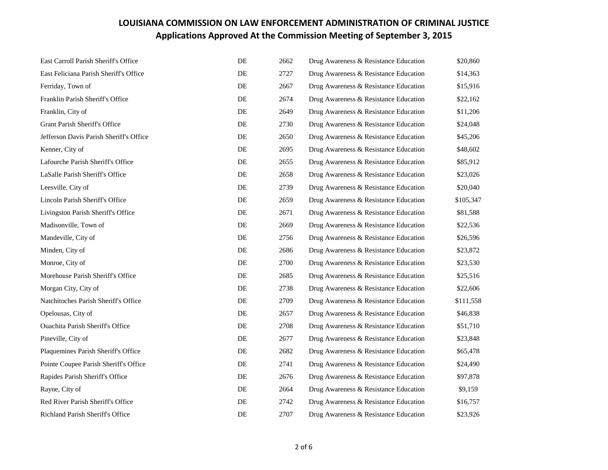| East Carroll Parish Sheriff's Office    | DE | 2662 | Drug Awareness & Resistance Education | \$20,860  |
|-----------------------------------------|----|------|---------------------------------------|-----------|
| East Feliciana Parish Sheriff's Office  | DE | 2727 | Drug Awareness & Resistance Education | \$14,363  |
| Ferriday, Town of                       | DE | 2667 | Drug Awareness & Resistance Education | \$15,916  |
| Franklin Parish Sheriff's Office        | DE | 2674 | Drug Awareness & Resistance Education | \$22,162  |
| Franklin, City of                       | DE | 2649 | Drug Awareness & Resistance Education | \$11,206  |
| Grant Parish Sheriff's Office           | DE | 2730 | Drug Awareness & Resistance Education | \$24,048  |
| Jefferson Davis Parish Sheriff's Office | DE | 2650 | Drug Awareness & Resistance Education | \$45,206  |
| Kenner, City of                         | DE | 2695 | Drug Awareness & Resistance Education | \$48,602  |
| Lafourche Parish Sheriff's Office       | DE | 2655 | Drug Awareness & Resistance Education | \$85,912  |
| LaSalle Parish Sheriff's Office         | DE | 2658 | Drug Awareness & Resistance Education | \$23,026  |
| Leesville, City of                      | DE | 2739 | Drug Awareness & Resistance Education | \$20,040  |
| Lincoln Parish Sheriff's Office         | DE | 2659 | Drug Awareness & Resistance Education | \$105,347 |
| Livingston Parish Sheriff's Office      | DE | 2671 | Drug Awareness & Resistance Education | \$81,588  |
| Madisonville, Town of                   | DE | 2669 | Drug Awareness & Resistance Education | \$22,536  |
| Mandeville, City of                     | DE | 2756 | Drug Awareness & Resistance Education | \$26,596  |
| Minden, City of                         | DE | 2686 | Drug Awareness & Resistance Education | \$23,872  |
| Monroe, City of                         | DE | 2700 | Drug Awareness & Resistance Education | \$23,530  |
| Morehouse Parish Sheriff's Office       | DE | 2685 | Drug Awareness & Resistance Education | \$25,516  |
| Morgan City, City of                    | DE | 2738 | Drug Awareness & Resistance Education | \$22,606  |
| Natchitoches Parish Sheriff's Office    | DE | 2709 | Drug Awareness & Resistance Education | \$111,558 |
| Opelousas, City of                      | DE | 2657 | Drug Awareness & Resistance Education | \$46,838  |
| <b>Ouachita Parish Sheriff's Office</b> | DE | 2708 | Drug Awareness & Resistance Education | \$51,710  |
| Pineville, City of                      | DE | 2677 | Drug Awareness & Resistance Education | \$23,848  |
| Plaquemines Parish Sheriff's Office     | DE | 2682 | Drug Awareness & Resistance Education | \$65,478  |
| Pointe Coupee Parish Sheriff's Office   | DE | 2741 | Drug Awareness & Resistance Education | \$24,490  |
| Rapides Parish Sheriff's Office         | DE | 2676 | Drug Awareness & Resistance Education | \$97,878  |
| Rayne, City of                          | DE | 2664 | Drug Awareness & Resistance Education | \$9,159   |
| Red River Parish Sheriff's Office       | DE | 2742 | Drug Awareness & Resistance Education | \$16,757  |
| Richland Parish Sheriff's Office        | DE | 2707 | Drug Awareness & Resistance Education | \$23,926  |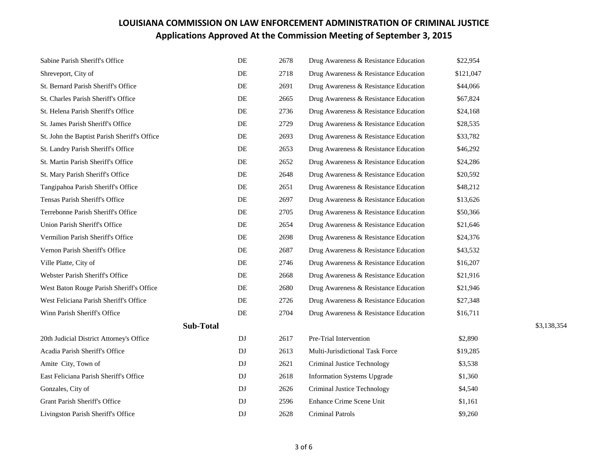| Sabine Parish Sheriff's Office               | $\rm DE$ | 2678 | Drug Awareness & Resistance Education | \$22,954  |             |
|----------------------------------------------|----------|------|---------------------------------------|-----------|-------------|
| Shreveport, City of                          | DE       | 2718 | Drug Awareness & Resistance Education | \$121,047 |             |
| St. Bernard Parish Sheriff's Office          | DE       | 2691 | Drug Awareness & Resistance Education | \$44,066  |             |
| St. Charles Parish Sheriff's Office          | DE       | 2665 | Drug Awareness & Resistance Education | \$67,824  |             |
| St. Helena Parish Sheriff's Office           | DE       | 2736 | Drug Awareness & Resistance Education | \$24,168  |             |
| St. James Parish Sheriff's Office            | DE       | 2729 | Drug Awareness & Resistance Education | \$28,535  |             |
| St. John the Baptist Parish Sheriff's Office | DE       | 2693 | Drug Awareness & Resistance Education | \$33,782  |             |
| St. Landry Parish Sheriff's Office           | DE       | 2653 | Drug Awareness & Resistance Education | \$46,292  |             |
| St. Martin Parish Sheriff's Office           | DE       | 2652 | Drug Awareness & Resistance Education | \$24,286  |             |
| St. Mary Parish Sheriff's Office             | DE       | 2648 | Drug Awareness & Resistance Education | \$20,592  |             |
| Tangipahoa Parish Sheriff's Office           | DE       | 2651 | Drug Awareness & Resistance Education | \$48,212  |             |
| Tensas Parish Sheriff's Office               | DE       | 2697 | Drug Awareness & Resistance Education | \$13,626  |             |
| Terrebonne Parish Sheriff's Office           | DE       | 2705 | Drug Awareness & Resistance Education | \$50,366  |             |
| Union Parish Sheriff's Office                | DE       | 2654 | Drug Awareness & Resistance Education | \$21,646  |             |
| Vermilion Parish Sheriff's Office            | DE       | 2698 | Drug Awareness & Resistance Education | \$24,376  |             |
| Vernon Parish Sheriff's Office               | DE       | 2687 | Drug Awareness & Resistance Education | \$43,532  |             |
| Ville Platte, City of                        | DE       | 2746 | Drug Awareness & Resistance Education | \$16,207  |             |
| Webster Parish Sheriff's Office              | DE       | 2668 | Drug Awareness & Resistance Education | \$21,916  |             |
| West Baton Rouge Parish Sheriff's Office     | DE       | 2680 | Drug Awareness & Resistance Education | \$21,946  |             |
| West Feliciana Parish Sheriff's Office       | DE       | 2726 | Drug Awareness & Resistance Education | \$27,348  |             |
| Winn Parish Sheriff's Office                 | DE       | 2704 | Drug Awareness & Resistance Education | \$16,711  |             |
| <b>Sub-Total</b>                             |          |      |                                       |           | \$3,138,354 |
| 20th Judicial District Attorney's Office     | DJ       | 2617 | Pre-Trial Intervention                | \$2,890   |             |
| Acadia Parish Sheriff's Office               | DJ       | 2613 | Multi-Jurisdictional Task Force       | \$19,285  |             |
| Amite City, Town of                          | DJ       | 2621 | Criminal Justice Technology           | \$3,538   |             |
| East Feliciana Parish Sheriff's Office       | DJ       | 2618 | <b>Information Systems Upgrade</b>    | \$1,360   |             |
| Gonzales, City of                            | DJ       | 2626 | Criminal Justice Technology           | \$4,540   |             |
| Grant Parish Sheriff's Office                | DJ       | 2596 | Enhance Crime Scene Unit              | \$1,161   |             |
| Livingston Parish Sheriff's Office           | DJ       | 2628 | <b>Criminal Patrols</b>               | \$9,260   |             |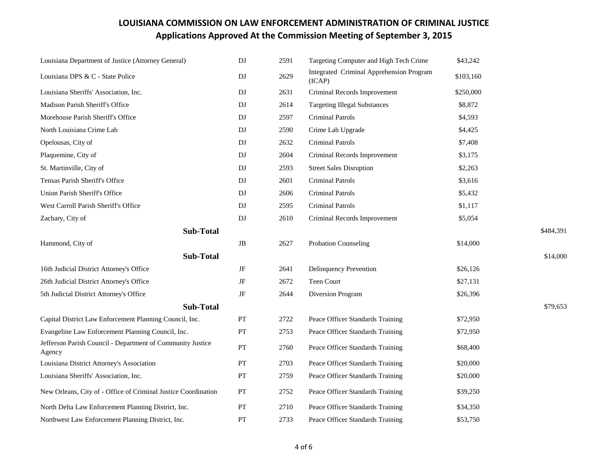| Louisiana Department of Justice (Attorney General)                   | DJ        | 2591 | Targeting Computer and High Tech Crime             | \$43,242  |           |
|----------------------------------------------------------------------|-----------|------|----------------------------------------------------|-----------|-----------|
| Louisiana DPS & C - State Police                                     | DJ        | 2629 | Integrated Criminal Apprehension Program<br>(ICAP) | \$103,160 |           |
| Louisiana Sheriffs' Association, Inc.                                | DJ        | 2631 | Criminal Records Improvement                       | \$250,000 |           |
| Madison Parish Sheriff's Office                                      | DJ        | 2614 | <b>Targeting Illegal Substances</b>                | \$8,872   |           |
| Morehouse Parish Sheriff's Office                                    | DJ        | 2597 | <b>Criminal Patrols</b>                            | \$4,593   |           |
| North Louisiana Crime Lab                                            | DJ        | 2590 | Crime Lab Upgrade                                  | \$4,425   |           |
| Opelousas, City of                                                   | DJ        | 2632 | <b>Criminal Patrols</b>                            | \$7,408   |           |
| Plaquemine, City of                                                  | DJ        | 2604 | Criminal Records Improvement                       | \$3,175   |           |
| St. Martinville, City of                                             | DJ        | 2593 | <b>Street Sales Disruption</b>                     | \$2,263   |           |
| Tensas Parish Sheriff's Office                                       | DJ        | 2601 | <b>Criminal Patrols</b>                            | \$3,616   |           |
| Union Parish Sheriff's Office                                        | DJ        | 2606 | <b>Criminal Patrols</b>                            | \$5,432   |           |
| West Carroll Parish Sheriff's Office                                 | DJ        | 2595 | <b>Criminal Patrols</b>                            | \$1,117   |           |
| Zachary, City of                                                     | DJ        | 2610 | Criminal Records Improvement                       | \$5,054   |           |
| <b>Sub-Total</b>                                                     |           |      |                                                    |           | \$484,391 |
| Hammond, City of                                                     | JB        | 2627 | <b>Probation Counseling</b>                        | \$14,000  |           |
| <b>Sub-Total</b>                                                     |           |      |                                                    |           | \$14,000  |
| 16th Judicial District Attorney's Office                             | JF        | 2641 | <b>Delinquency Prevention</b>                      | \$26,126  |           |
| 26th Judicial District Attorney's Office                             | $\rm{JF}$ | 2672 | Teen Court                                         | \$27,131  |           |
| 5th Judicial District Attorney's Office                              | $\rm{JF}$ | 2644 | Diversion Program                                  | \$26,396  |           |
| <b>Sub-Total</b>                                                     |           |      |                                                    |           | \$79,653  |
| Capital District Law Enforcement Planning Council, Inc.              | PT        | 2722 | Peace Officer Standards Training                   | \$72,950  |           |
| Evangeline Law Enforcement Planning Council, Inc.                    | PT        | 2753 | Peace Officer Standards Training                   | \$72,950  |           |
| Jefferson Parish Council - Department of Community Justice<br>Agency | PT        | 2760 | Peace Officer Standards Training                   | \$68,400  |           |
| Louisiana District Attorney's Association                            | PT        | 2703 | Peace Officer Standards Training                   | \$20,000  |           |
| Louisiana Sheriffs' Association, Inc.                                | PT        | 2759 | Peace Officer Standards Training                   | \$20,000  |           |
| New Orleans, City of - Office of Criminal Justice Coordination       | PT        | 2752 | Peace Officer Standards Training                   | \$39,250  |           |
| North Delta Law Enforcement Planning District, Inc.                  | PT        | 2710 | Peace Officer Standards Training                   | \$34,350  |           |
| Northwest Law Enforcement Planning District, Inc.                    | PT        | 2733 | Peace Officer Standards Training                   | \$53,750  |           |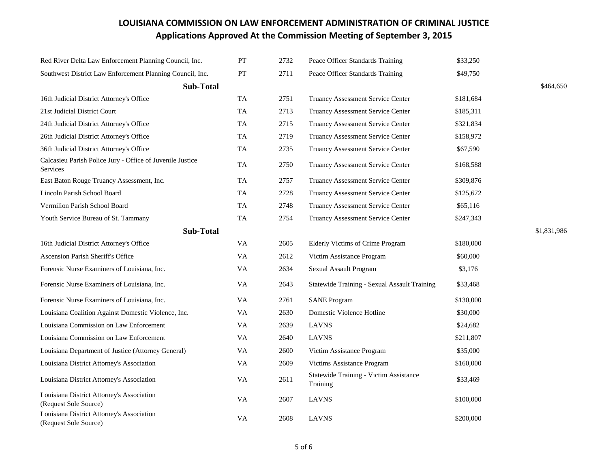| Red River Delta Law Enforcement Planning Council, Inc.                | <b>PT</b> | 2732 | Peace Officer Standards Training                   | \$33,250  |           |
|-----------------------------------------------------------------------|-----------|------|----------------------------------------------------|-----------|-----------|
| Southwest District Law Enforcement Planning Council, Inc.             | PT        | 2711 | Peace Officer Standards Training                   | \$49,750  |           |
| <b>Sub-Total</b>                                                      |           |      |                                                    |           | \$464,650 |
| 16th Judicial District Attorney's Office                              | TA        | 2751 | Truancy Assessment Service Center                  | \$181,684 |           |
| 21st Judicial District Court                                          | TA        | 2713 | <b>Truancy Assessment Service Center</b>           | \$185,311 |           |
| 24th Judicial District Attorney's Office                              | TA        | 2715 | <b>Truancy Assessment Service Center</b>           | \$321,834 |           |
| 26th Judicial District Attorney's Office                              | TA        | 2719 | Truancy Assessment Service Center                  | \$158,972 |           |
| 36th Judicial District Attorney's Office                              | TA        | 2735 | Truancy Assessment Service Center                  | \$67,590  |           |
| Calcasieu Parish Police Jury - Office of Juvenile Justice<br>Services | TA        | 2750 | Truancy Assessment Service Center                  | \$168,588 |           |
| East Baton Rouge Truancy Assessment, Inc.                             | TA        | 2757 | Truancy Assessment Service Center                  | \$309,876 |           |
| Lincoln Parish School Board                                           | TA        | 2728 | Truancy Assessment Service Center                  | \$125,672 |           |
| Vermilion Parish School Board                                         | TA        | 2748 | Truancy Assessment Service Center                  | \$65,116  |           |
| Youth Service Bureau of St. Tammany                                   | TA        | 2754 | Truancy Assessment Service Center                  | \$247,343 |           |
| <b>Sub-Total</b>                                                      |           |      | \$1,831,986                                        |           |           |
| 16th Judicial District Attorney's Office                              | VA        | 2605 | Elderly Victims of Crime Program                   | \$180,000 |           |
| Ascension Parish Sheriff's Office                                     | <b>VA</b> | 2612 | Victim Assistance Program                          | \$60,000  |           |
| Forensic Nurse Examiners of Louisiana, Inc.                           | VA        | 2634 | Sexual Assault Program                             | \$3,176   |           |
| Forensic Nurse Examiners of Louisiana, Inc.                           | VA        | 2643 | Statewide Training - Sexual Assault Training       | \$33,468  |           |
| Forensic Nurse Examiners of Louisiana, Inc.                           | VA.       | 2761 | <b>SANE</b> Program                                | \$130,000 |           |
| Louisiana Coalition Against Domestic Violence, Inc.                   | VA.       | 2630 | Domestic Violence Hotline                          | \$30,000  |           |
| Louisiana Commission on Law Enforcement                               | VA.       | 2639 | <b>LAVNS</b>                                       | \$24,682  |           |
| Louisiana Commission on Law Enforcement                               | VA.       | 2640 | LAVNS                                              | \$211,807 |           |
| Louisiana Department of Justice (Attorney General)                    | VA.       | 2600 | Victim Assistance Program                          | \$35,000  |           |
| Louisiana District Attorney's Association                             | VA        | 2609 | Victims Assistance Program                         | \$160,000 |           |
| Louisiana District Attorney's Association                             | VA        | 2611 | Statewide Training - Victim Assistance<br>Training | \$33,469  |           |
| Louisiana District Attorney's Association<br>(Request Sole Source)    | <b>VA</b> | 2607 | <b>LAVNS</b>                                       | \$100,000 |           |
| Louisiana District Attorney's Association<br>(Request Sole Source)    | <b>VA</b> | 2608 | <b>LAVNS</b>                                       | \$200,000 |           |